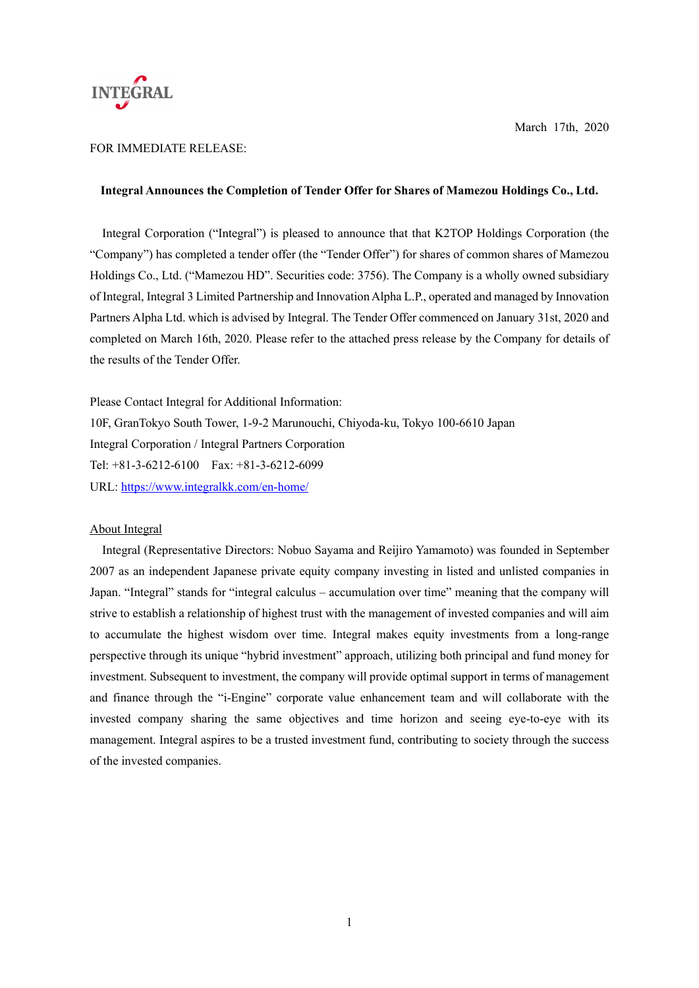

# FOR IMMEDIATE RELEASE:

### **Integral Announces the Completion of Tender Offer for Shares of Mamezou Holdings Co., Ltd.**

Integral Corporation ("Integral") is pleased to announce that that K2TOP Holdings Corporation (the "Company") has completed a tender offer (the "Tender Offer") for shares of common shares of Mamezou Holdings Co., Ltd. ("Mamezou HD". Securities code: 3756). The Company is a wholly owned subsidiary of Integral, Integral 3 Limited Partnership and Innovation Alpha L.P., operated and managed by Innovation Partners Alpha Ltd. which is advised by Integral. The Tender Offer commenced on January 31st, 2020 and completed on March 16th, 2020. Please refer to the attached press release by the Company for details of the results of the Tender Offer.

Please Contact Integral for Additional Information: 10F, GranTokyo South Tower, 1-9-2 Marunouchi, Chiyoda-ku, Tokyo 100-6610 Japan Integral Corporation / Integral Partners Corporation Tel: +81-3-6212-6100 Fax: +81-3-6212-6099 URL: https://www.integralkk.com/en-home/

## About Integral

Integral (Representative Directors: Nobuo Sayama and Reijiro Yamamoto) was founded in September 2007 as an independent Japanese private equity company investing in listed and unlisted companies in Japan. "Integral" stands for "integral calculus – accumulation over time" meaning that the company will strive to establish a relationship of highest trust with the management of invested companies and will aim to accumulate the highest wisdom over time. Integral makes equity investments from a long-range perspective through its unique "hybrid investment" approach, utilizing both principal and fund money for investment. Subsequent to investment, the company will provide optimal support in terms of management and finance through the "i-Engine" corporate value enhancement team and will collaborate with the invested company sharing the same objectives and time horizon and seeing eye-to-eye with its management. Integral aspires to be a trusted investment fund, contributing to society through the success of the invested companies.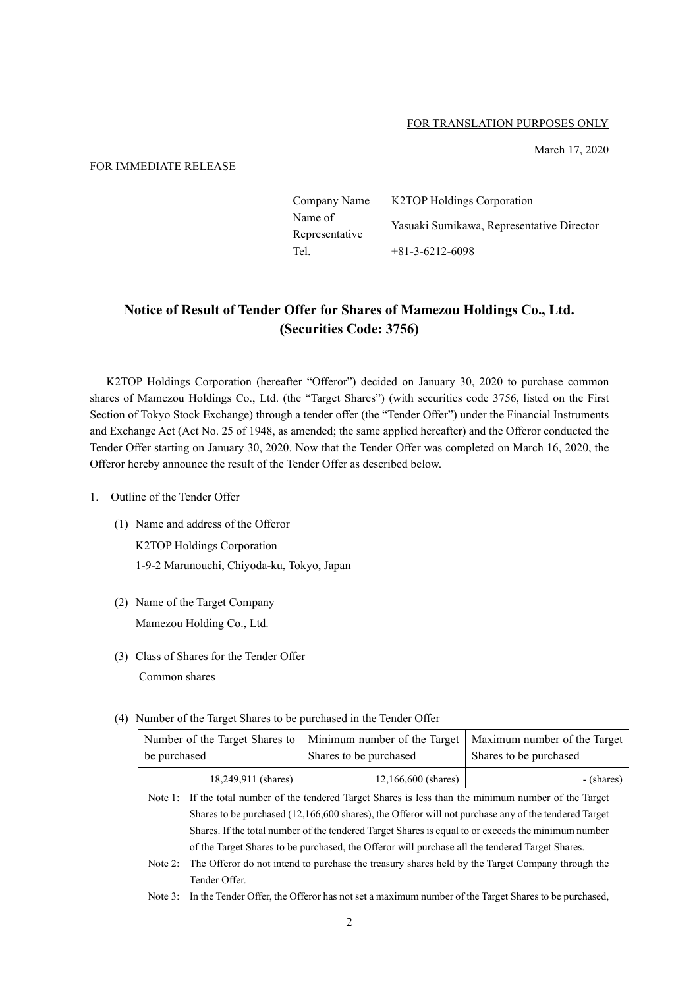### FOR TRANSLATION PURPOSES ONLY

March 17, 2020

# FOR IMMEDIATE RELEASE

| Company Name   | <b>K2TOP Holdings Corporation</b>         |  |
|----------------|-------------------------------------------|--|
| Name of        | Yasuaki Sumikawa, Representative Director |  |
| Representative |                                           |  |
| Tel.           | $+81-3-6212-6098$                         |  |

# **Notice of Result of Tender Offer for Shares of Mamezou Holdings Co., Ltd. (Securities Code: 3756)**

K2TOP Holdings Corporation (hereafter "Offeror") decided on January 30, 2020 to purchase common shares of Mamezou Holdings Co., Ltd. (the "Target Shares") (with securities code 3756, listed on the First Section of Tokyo Stock Exchange) through a tender offer (the "Tender Offer") under the Financial Instruments and Exchange Act (Act No. 25 of 1948, as amended; the same applied hereafter) and the Offeror conducted the Tender Offer starting on January 30, 2020. Now that the Tender Offer was completed on March 16, 2020, the Offeror hereby announce the result of the Tender Offer as described below.

- 1. Outline of the Tender Offer
	- (1) Name and address of the Offeror

K2TOP Holdings Corporation 1-9-2 Marunouchi, Chiyoda-ku, Tokyo, Japan

- (2) Name of the Target Company Mamezou Holding Co., Ltd.
- (3) Class of Shares for the Tender Offer

Common shares

(4) Number of the Target Shares to be purchased in the Tender Offer

|                     | Number of the Target Shares to   Minimum number of the Target   Maximum number of the Target |                        |  |
|---------------------|----------------------------------------------------------------------------------------------|------------------------|--|
| be purchased        | Shares to be purchased                                                                       | Shares to be purchased |  |
| 18,249,911 (shares) | $12,166,600$ (shares)                                                                        | - (shares)             |  |

Note 1: If the total number of the tendered Target Shares is less than the minimum number of the Target Shares to be purchased (12,166,600 shares), the Offeror will not purchase any of the tendered Target Shares. If the total number of the tendered Target Shares is equal to or exceeds the minimum number of the Target Shares to be purchased, the Offeror will purchase all the tendered Target Shares.

- Note 2: The Offeror do not intend to purchase the treasury shares held by the Target Company through the Tender Offer.
- Note 3: In the Tender Offer, the Offeror has not set a maximum number of the Target Shares to be purchased,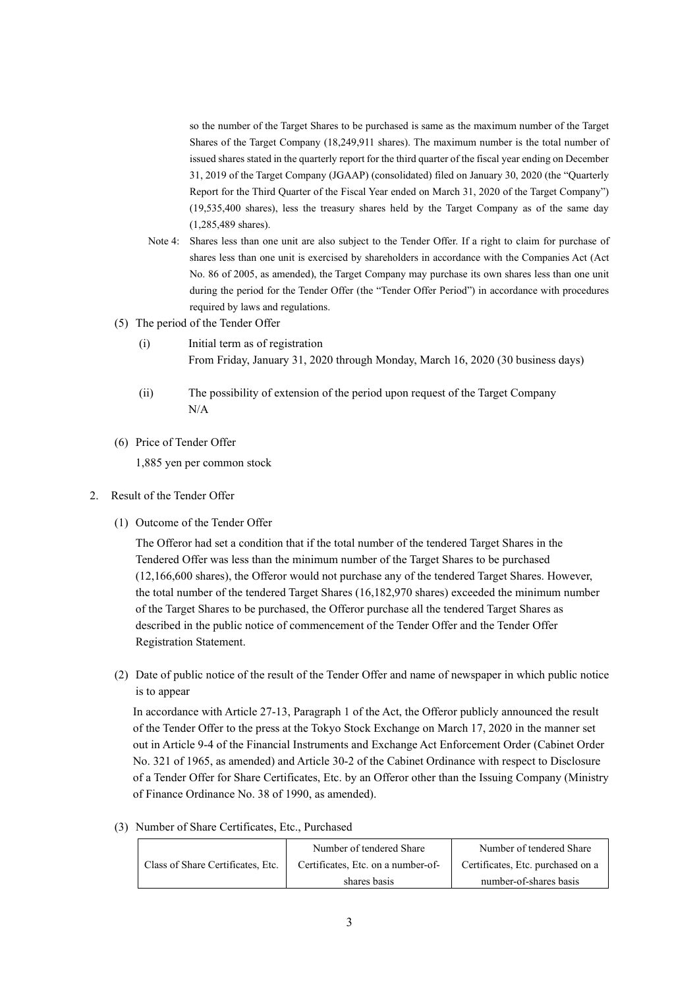so the number of the Target Shares to be purchased is same as the maximum number of the Target Shares of the Target Company (18,249,911 shares). The maximum number is the total number of issued shares stated in the quarterly report for the third quarter of the fiscal year ending on December 31, 2019 of the Target Company (JGAAP) (consolidated) filed on January 30, 2020 (the "Quarterly Report for the Third Quarter of the Fiscal Year ended on March 31, 2020 of the Target Company") (19,535,400 shares), less the treasury shares held by the Target Company as of the same day (1,285,489 shares).

- Note 4: Shares less than one unit are also subject to the Tender Offer. If a right to claim for purchase of shares less than one unit is exercised by shareholders in accordance with the Companies Act (Act No. 86 of 2005, as amended), the Target Company may purchase its own shares less than one unit during the period for the Tender Offer (the "Tender Offer Period") in accordance with procedures required by laws and regulations.
- (5) The period of the Tender Offer
	- (i) Initial term as of registration From Friday, January 31, 2020 through Monday, March 16, 2020 (30 business days)
	- (ii) The possibility of extension of the period upon request of the Target Company N/A
- (6) Price of Tender Offer

1,885 yen per common stock

- 2. Result of the Tender Offer
	- (1) Outcome of the Tender Offer

The Offeror had set a condition that if the total number of the tendered Target Shares in the Tendered Offer was less than the minimum number of the Target Shares to be purchased (12,166,600 shares), the Offeror would not purchase any of the tendered Target Shares. However, the total number of the tendered Target Shares (16,182,970 shares) exceeded the minimum number of the Target Shares to be purchased, the Offeror purchase all the tendered Target Shares as described in the public notice of commencement of the Tender Offer and the Tender Offer Registration Statement.

(2) Date of public notice of the result of the Tender Offer and name of newspaper in which public notice is to appear

In accordance with Article 27-13, Paragraph 1 of the Act, the Offeror publicly announced the result of the Tender Offer to the press at the Tokyo Stock Exchange on March 17, 2020 in the manner set out in Article 9-4 of the Financial Instruments and Exchange Act Enforcement Order (Cabinet Order No. 321 of 1965, as amended) and Article 30-2 of the Cabinet Ordinance with respect to Disclosure of a Tender Offer for Share Certificates, Etc. by an Offeror other than the Issuing Company (Ministry of Finance Ordinance No. 38 of 1990, as amended).

|                                   | Number of tendered Share           | Number of tendered Share          |
|-----------------------------------|------------------------------------|-----------------------------------|
| Class of Share Certificates, Etc. | Certificates, Etc. on a number-of- | Certificates, Etc. purchased on a |
|                                   | shares basis                       | number-of-shares basis            |

(3) Number of Share Certificates, Etc., Purchased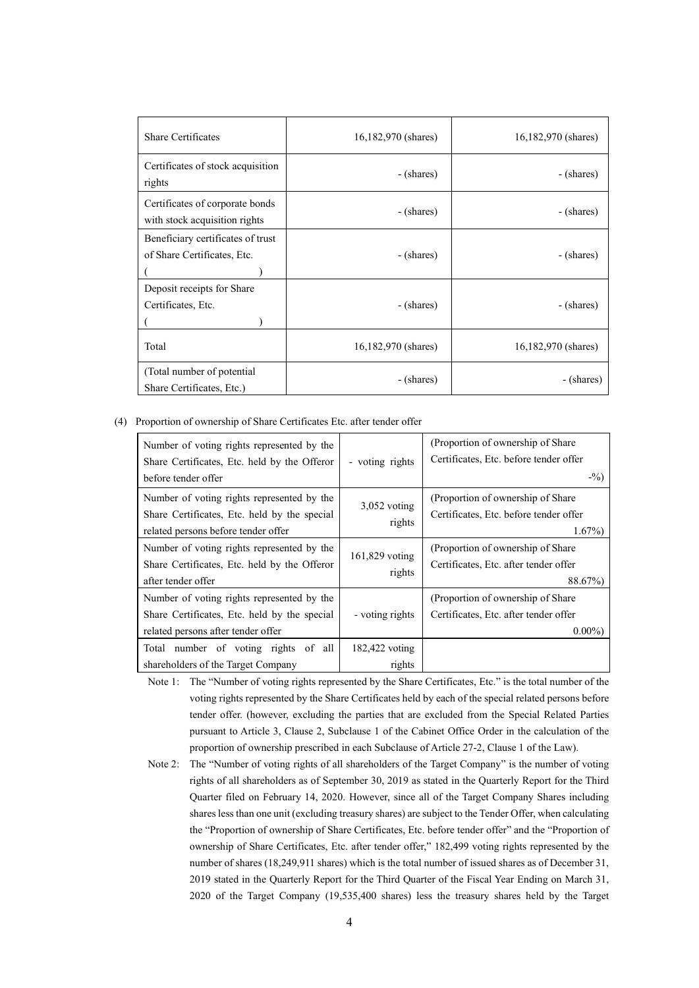| <b>Share Certificates</b>                                        | 16,182,970 (shares) | 16,182,970 (shares) |
|------------------------------------------------------------------|---------------------|---------------------|
| Certificates of stock acquisition<br>rights                      | - (shares)          | - (shares)          |
| Certificates of corporate bonds<br>with stock acquisition rights | - (shares)          | - (shares)          |
| Beneficiary certificates of trust<br>of Share Certificates, Etc. | - (shares)          | - (shares)          |
| Deposit receipts for Share<br>Certificates, Etc.                 | - (shares)          | - (shares)          |
| Total                                                            | 16,182,970 (shares) | 16,182,970 (shares) |
| (Total number of potential)<br>Share Certificates, Etc.)         | - (shares)          | - (shares)          |

#### (4) Proportion of ownership of Share Certificates Etc. after tender offer

| Number of voting rights represented by the<br>Share Certificates, Etc. held by the Offeror<br>before tender offer | - voting rights          | (Proportion of ownership of Share)<br>Certificates, Etc. before tender offer<br>$-$ %) |
|-------------------------------------------------------------------------------------------------------------------|--------------------------|----------------------------------------------------------------------------------------|
|                                                                                                                   |                          |                                                                                        |
| Number of voting rights represented by the                                                                        |                          | (Proportion of ownership of Share)                                                     |
| Share Certificates, Etc. held by the special                                                                      | $3,052$ voting           | Certificates, Etc. before tender offer                                                 |
|                                                                                                                   | rights                   |                                                                                        |
| related persons before tender offer                                                                               |                          | $1.67\%)$                                                                              |
| Number of voting rights represented by the                                                                        |                          | (Proportion of ownership of Share)                                                     |
| Share Certificates, Etc. held by the Offeror                                                                      | 161,829 voting<br>rights | Certificates, Etc. after tender offer                                                  |
|                                                                                                                   |                          |                                                                                        |
| after tender offer                                                                                                |                          | 88.67%)                                                                                |
| Number of voting rights represented by the                                                                        |                          | (Proportion of ownership of Share)                                                     |
| Share Certificates, Etc. held by the special                                                                      | - voting rights          | Certificates, Etc. after tender offer                                                  |
| related persons after tender offer                                                                                |                          | $0.00\%$                                                                               |
| Total number of voting rights of all                                                                              | 182,422 voting           |                                                                                        |
| shareholders of the Target Company                                                                                | rights                   |                                                                                        |

Note 1: The "Number of voting rights represented by the Share Certificates, Etc." is the total number of the voting rights represented by the Share Certificates held by each of the special related persons before tender offer. (however, excluding the parties that are excluded from the Special Related Parties pursuant to Article 3, Clause 2, Subclause 1 of the Cabinet Office Order in the calculation of the proportion of ownership prescribed in each Subclause of Article 27-2, Clause 1 of the Law).

Note 2: The "Number of voting rights of all shareholders of the Target Company" is the number of voting rights of all shareholders as of September 30, 2019 as stated in the Quarterly Report for the Third Quarter filed on February 14, 2020. However, since all of the Target Company Shares including shares less than one unit (excluding treasury shares) are subject to the Tender Offer, when calculating the "Proportion of ownership of Share Certificates, Etc. before tender offer" and the "Proportion of ownership of Share Certificates, Etc. after tender offer," 182,499 voting rights represented by the number of shares (18,249,911 shares) which is the total number of issued shares as of December 31, 2019 stated in the Quarterly Report for the Third Quarter of the Fiscal Year Ending on March 31, 2020 of the Target Company (19,535,400 shares) less the treasury shares held by the Target